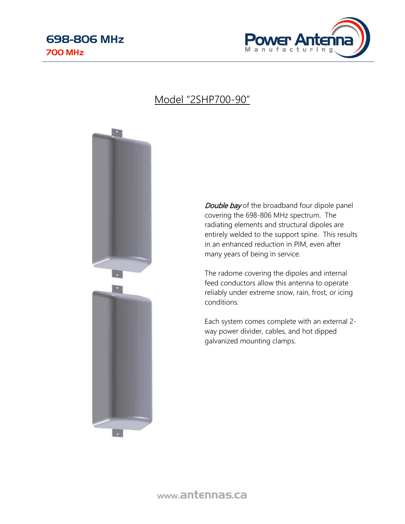

### Model "2SHP700-90"



Double bay of the broadband four dipole panel covering the 698-806 MHz spectrum. The radiating elements and structural dipoles are entirely welded to the support spine. This results in an enhanced reduction in PIM, even after many years of being in service.

The radome covering the dipoles and internal feed conductors allow this antenna to operate reliably under extreme snow, rain, frost, or icing conditions.

Each system comes complete with an external 2 way power divider, cables, and hot dipped galvanized mounting clamps.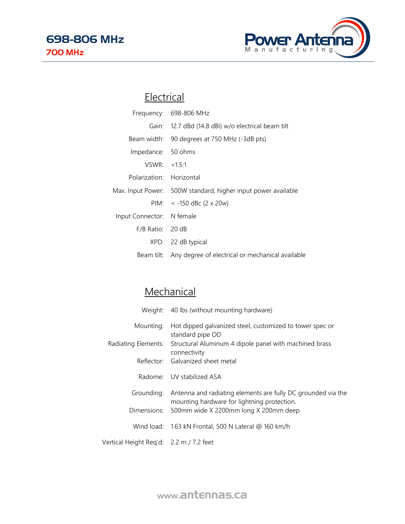

### **Electrical**

|                           | Frequency: 698-806 MHz                                        |
|---------------------------|---------------------------------------------------------------|
|                           | Gain: 12.7 dBd (14.8 dBi) w/o electrical beam tilt            |
|                           | Beam width: 90 degrees at 750 MHz (-3dB pts)                  |
| Impedance: 50 ohms        |                                                               |
| VSWR: < 1.5:1             |                                                               |
| Polarization: Horizontal  |                                                               |
|                           | Max. Input Power: 500W standard, higher input power available |
|                           | PIM: $<$ -150 dBc (2 x 20w)                                   |
| Input Connector: N female |                                                               |
| F/B Ratio: 20 dB          |                                                               |
|                           | XPD: 22 dB typical                                            |
|                           | Beam tilt: Any degree of electrical or mechanical available   |

# **Mechanical**

|                                         | Weight: 40 lbs (without mounting hardware)                                                                  |
|-----------------------------------------|-------------------------------------------------------------------------------------------------------------|
| Mounting:                               | Hot dipped galvanized steel, customized to tower spec or<br>standard pipe OD                                |
| Radiating Elements:                     | Structural Aluminum 4 dipole panel with machined brass<br>connectivity                                      |
|                                         | Reflector: Galvanized sheet metal                                                                           |
|                                         | Radome: UV stabilized ASA                                                                                   |
| Grounding:                              | Antenna and radiating elements are fully DC grounded via the<br>mounting hardware for lightning protection. |
|                                         | Dimensions: 500mm wide X 2200mm long X 200mm deep                                                           |
|                                         | Wind load: 1.63 kN Frontal, 500 N Lateral @ 160 km/h                                                        |
| Vertical Height Reg'd: 2.2 m / 7.2 feet |                                                                                                             |

www.antennas.ca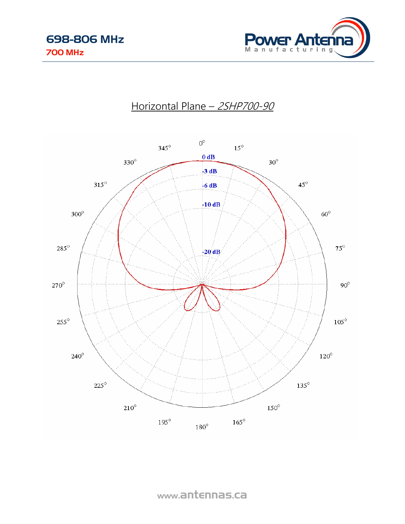

### Horizontal Plane - 2SHP700-90